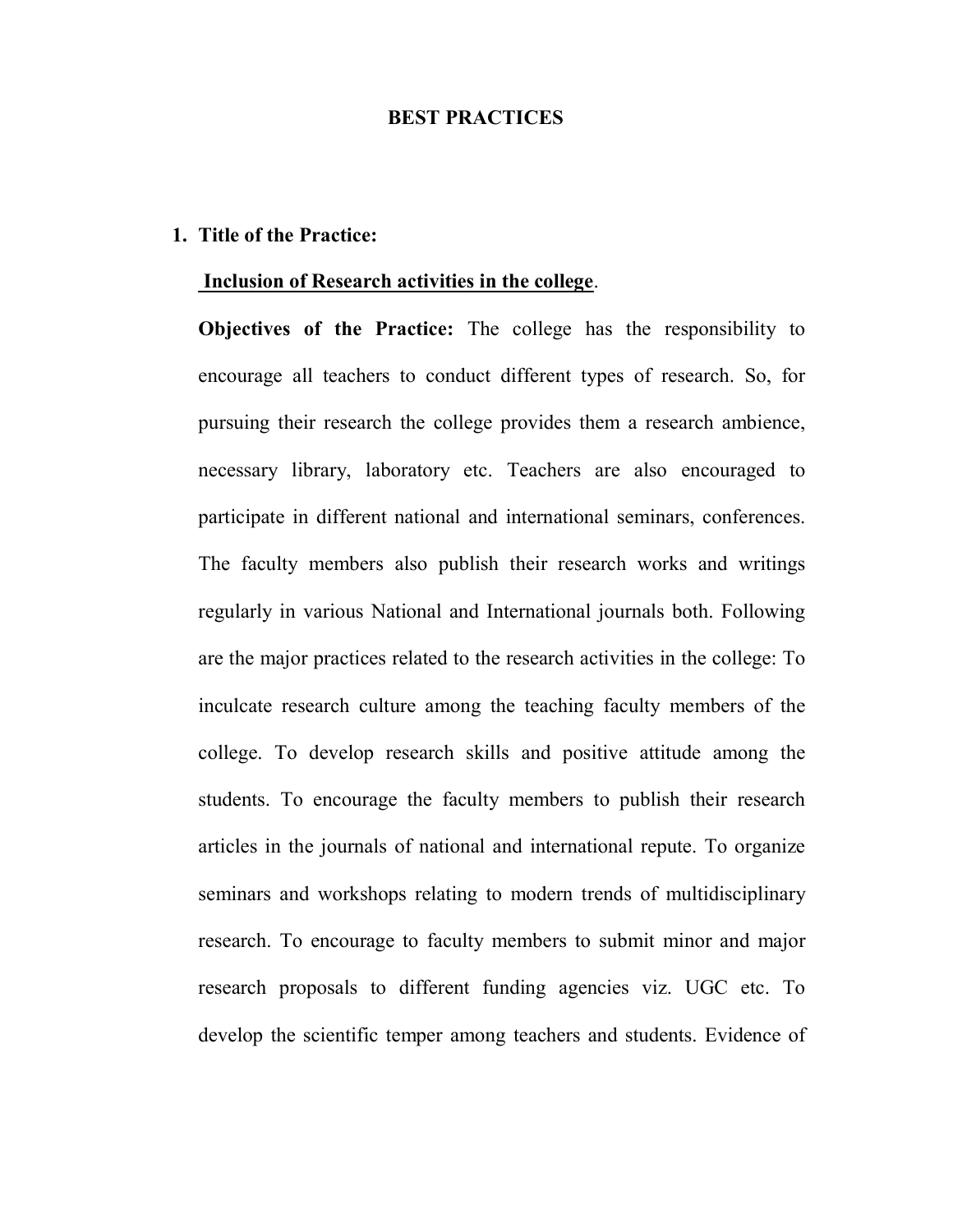## BEST PRACTICES

## 1. Title of the Practice:

## Inclusion of Research activities in the college.

Objectives of the Practice: The college has the responsibility to encourage all teachers to conduct different types of research. So, for pursuing their research the college provides them a research ambience, necessary library, laboratory etc. Teachers are also encouraged to participate in different national and international seminars, conferences. The faculty members also publish their research works and writings regularly in various National and International journals both. Following are the major practices related to the research activities in the college: To inculcate research culture among the teaching faculty members of the college. To develop research skills and positive attitude among the students. To encourage the faculty members to publish their research articles in the journals of national and international repute. To organize seminars and workshops relating to modern trends of multidisciplinary research. To encourage to faculty members to submit minor and major research proposals to different funding agencies viz. UGC etc. To develop the scientific temper among teachers and students. Evidence of